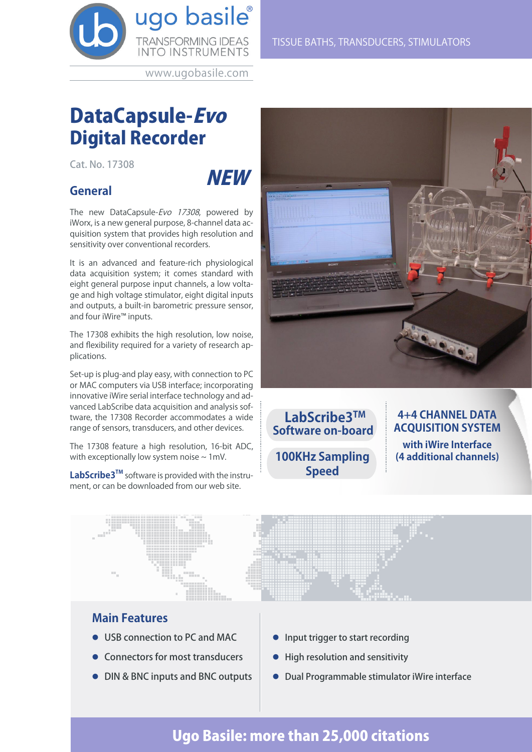

www.ugobasile.com

## DataCapsule-Evo Digital Recorder

Cat. No. 17308

# NEW

## **General**

The new DataCapsule-Evo 17308, powered by iWorx, is a new general purpose, 8-channel data acquisition system that provides high resolution and sensitivity over conventional recorders.

It is an advanced and feature-rich physiological data acquisition system; it comes standard with eight general purpose input channels, a low voltage and high voltage stimulator, eight digital inputs and outputs, a built-in barometric pressure sensor, and four iWire™ inputs.

The 17308 exhibits the high resolution, low noise, and flexibility required for a variety of research applications.

Set-up is plug-and play easy, with connection to PC or MAC computers via USB interface; incorporating innovative iWire serial interface technology and advanced LabScribe data acquisition and analysis software, the 17308 Recorder accommodates a wide range of sensors, transducers, and other devices.

The 17308 feature a high resolution, 16-bit ADC, with exceptionally low system noise  $\sim 1$  mV.

**LabScribe3TM** software is provided with the instrument, or can be downloaded from our web site.





## **4+4 CHANNEL DATA ACQUISITION SYSTEM**

**with iWire Interface (4 additional channels)**



## **Main Features**

- **.** USB connection to PC and MAC
- Connectors for most transducers
- DIN & BNC inputs and BNC outputs
- Input trigger to start recording
- High resolution and sensitivity
- l Dual Programmable stimulator iWire interface

## Ugo Basile: more than 25,000 citations